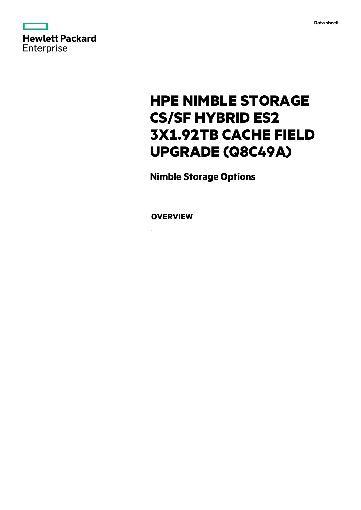

# **HPE NIMBLE STORAGE CS/SF HYBRID ES2 3X1.92TB CACHE FIELD UPGRADE (Q8C49A)**

**Nimble Storage Options**

**OVERVIEW**

.